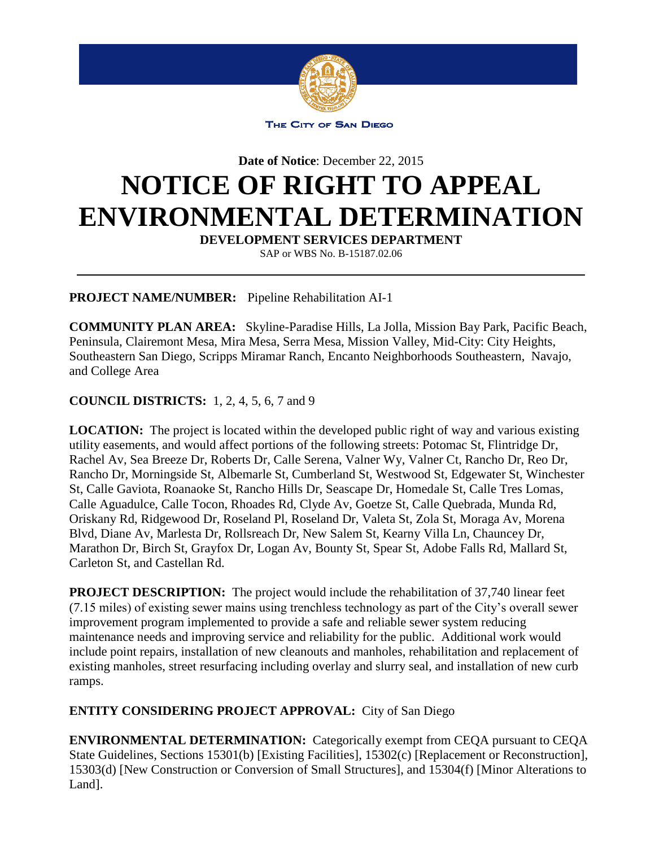

THE CITY OF SAN DIEGO

**Date of Notice**: December 22, 2015

## **NOTICE OF RIGHT TO APPEAL ENVIRONMENTAL DETERMINATION**

**DEVELOPMENT SERVICES DEPARTMENT** 

SAP or WBS No. B-15187.02.06

**PROJECT NAME/NUMBER:** Pipeline Rehabilitation AI-1

**COMMUNITY PLAN AREA:** Skyline-Paradise Hills, La Jolla, Mission Bay Park, Pacific Beach, Peninsula, Clairemont Mesa, Mira Mesa, Serra Mesa, Mission Valley, Mid-City: City Heights, Southeastern San Diego, Scripps Miramar Ranch, Encanto Neighborhoods Southeastern, Navajo, and College Area

## **COUNCIL DISTRICTS:** 1, 2, 4, 5, 6, 7 and 9

**LOCATION:** The project is located within the developed public right of way and various existing utility easements, and would affect portions of the following streets: Potomac St, Flintridge Dr, Rachel Av, Sea Breeze Dr, Roberts Dr, Calle Serena, Valner Wy, Valner Ct, Rancho Dr, Reo Dr, Rancho Dr, Morningside St, Albemarle St, Cumberland St, Westwood St, Edgewater St, Winchester St, Calle Gaviota, Roanaoke St, Rancho Hills Dr, Seascape Dr, Homedale St, Calle Tres Lomas, Calle Aguadulce, Calle Tocon, Rhoades Rd, Clyde Av, Goetze St, Calle Quebrada, Munda Rd, Oriskany Rd, Ridgewood Dr, Roseland Pl, Roseland Dr, Valeta St, Zola St, Moraga Av, Morena Blvd, Diane Av, Marlesta Dr, Rollsreach Dr, New Salem St, Kearny Villa Ln, Chauncey Dr, Marathon Dr, Birch St, Grayfox Dr, Logan Av, Bounty St, Spear St, Adobe Falls Rd, Mallard St, Carleton St, and Castellan Rd.

**PROJECT DESCRIPTION:** The project would include the rehabilitation of 37,740 linear feet (7.15 miles) of existing sewer mains using trenchless technology as part of the City's overall sewer improvement program implemented to provide a safe and reliable sewer system reducing maintenance needs and improving service and reliability for the public. Additional work would include point repairs, installation of new cleanouts and manholes, rehabilitation and replacement of existing manholes, street resurfacing including overlay and slurry seal, and installation of new curb ramps.

**ENTITY CONSIDERING PROJECT APPROVAL:** City of San Diego

**ENVIRONMENTAL DETERMINATION:** Categorically exempt from CEQA pursuant to CEQA State Guidelines, Sections 15301(b) [Existing Facilities], 15302(c) [Replacement or Reconstruction], 15303(d) [New Construction or Conversion of Small Structures], and 15304(f) [Minor Alterations to Land<sub>l</sub>.